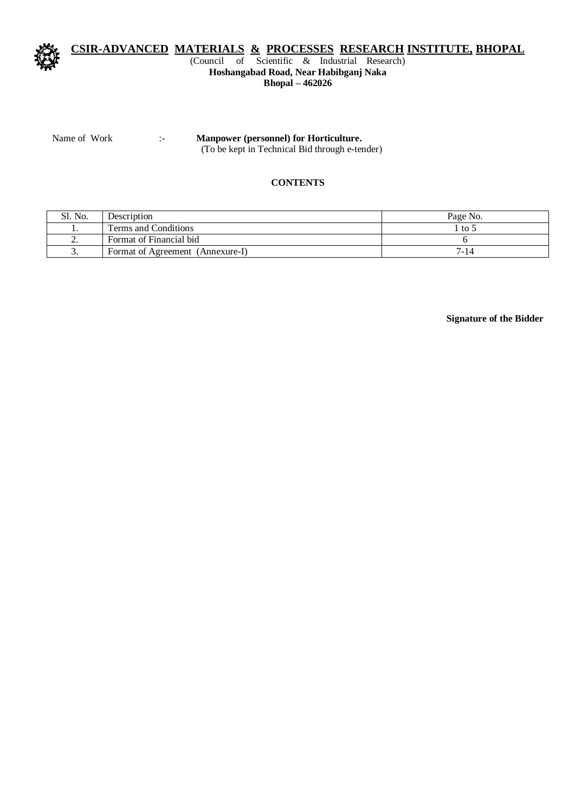

## **CSIR-ADVANCED MATERIALS & PROCESSES RESEARCH INSTITUTE, BHOPAL**

#### (Council of Scientific & Industrial Research) **Hoshangabad Road, Near Habibganj Naka Bhopal – 462026**

Name of Work :- **Manpower (personnel) for Horticulture.**

(To be kept in Technical Bid through e-tender)

#### **CONTENTS**

| No.      | Description                      | Page No. |
|----------|----------------------------------|----------|
| . .      | Terms and Conditions             | to 5     |
| <u>.</u> | Format of Financial bid          |          |
| J.       | Format of Agreement (Annexure-I) | $7 - 14$ |

**Signature of the Bidder**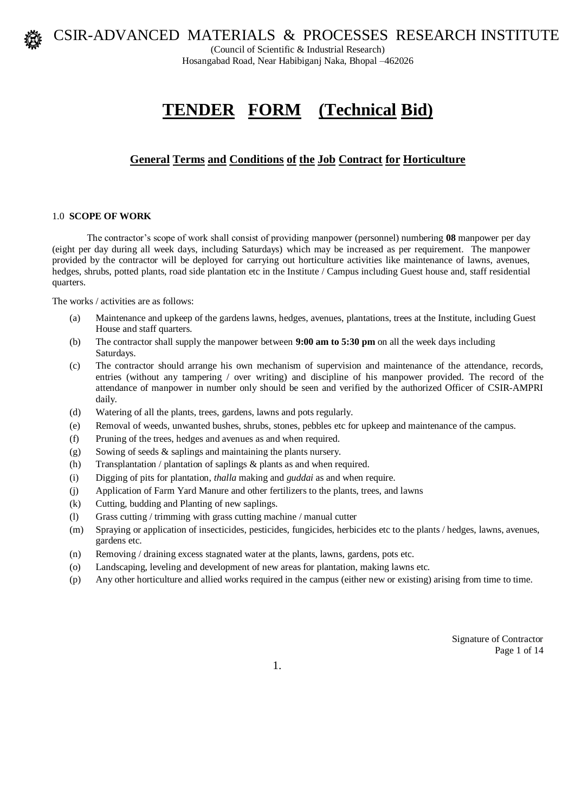

(Council of Scientific & Industrial Research) Hosangabad Road, Near Habibiganj Naka, Bhopal –462026

# **TENDER FORM (Technical Bid)**

# **General Terms and Conditions of the Job Contract for Horticulture**

#### 1.0 **SCOPE OF WORK**

The contractor's scope of work shall consist of providing manpower (personnel) numbering **08** manpower per day (eight per day during all week days, including Saturdays) which may be increased as per requirement. The manpower provided by the contractor will be deployed for carrying out horticulture activities like maintenance of lawns, avenues, hedges, shrubs, potted plants, road side plantation etc in the Institute / Campus including Guest house and, staff residential quarters.

The works / activities are as follows:

- (a) Maintenance and upkeep of the gardens lawns, hedges, avenues, plantations, trees at the Institute, including Guest House and staff quarters.
- (b) The contractor shall supply the manpower between **9:00 am to 5:30 pm** on all the week days including Saturdays.
- (c) The contractor should arrange his own mechanism of supervision and maintenance of the attendance, records, entries (without any tampering / over writing) and discipline of his manpower provided. The record of the attendance of manpower in number only should be seen and verified by the authorized Officer of CSIR-AMPRI daily.
- (d) Watering of all the plants, trees, gardens, lawns and pots regularly.
- (e) Removal of weeds, unwanted bushes, shrubs, stones, pebbles etc for upkeep and maintenance of the campus.
- (f) Pruning of the trees, hedges and avenues as and when required.
- $(g)$  Sowing of seeds & saplings and maintaining the plants nursery.
- (h) Transplantation / plantation of saplings & plants as and when required.
- (i) Digging of pits for plantation, *thalla* making and *guddai* as and when require.
- (j) Application of Farm Yard Manure and other fertilizers to the plants, trees, and lawns
- (k) Cutting, budding and Planting of new saplings.
- (l) Grass cutting / trimming with grass cutting machine / manual cutter
- (m) Spraying or application of insecticides, pesticides, fungicides, herbicides etc to the plants / hedges, lawns, avenues, gardens etc.
- (n) Removing / draining excess stagnated water at the plants, lawns, gardens, pots etc.
- (o) Landscaping, leveling and development of new areas for plantation, making lawns etc.
- (p) Any other horticulture and allied works required in the campus (either new or existing) arising from time to time.

Signature of Contractor Page 1 of 14

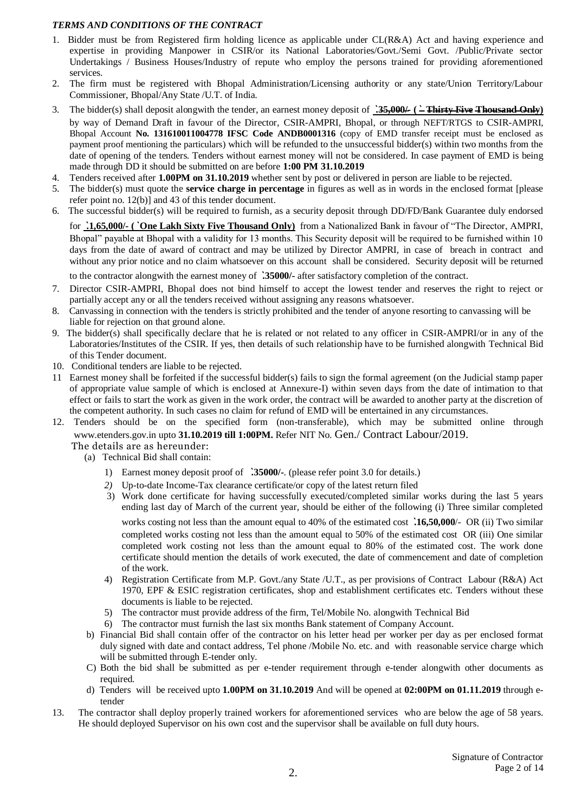#### *TERMS AND CONDITIONS OF THE CONTRACT*

- 1. Bidder must be from Registered firm holding licence as applicable under CL(R&A) Act and having experience and expertise in providing Manpower in CSIR/or its National Laboratories/Govt./Semi Govt. /Public/Private sector Undertakings / Business Houses/Industry of repute who employ the persons trained for providing aforementioned services.
- 2. The firm must be registered with Bhopal Administration/Licensing authority or any state/Union Territory/Labour Commissioner, Bhopal/Any State /U.T. of India.
- 3. The bidder(s) shall deposit alongwith the tender, an earnest money deposit of **`.35,000/- (` Thirty Five Thousand Only)** by way of Demand Draft in favour of the Director, CSIR-AMPRI, Bhopal, or through NEFT/RTGS to CSIR-AMPRI, Bhopal Account **No. 131610011004778 IFSC Code ANDB0001316** (copy of EMD transfer receipt must be enclosed as payment proof mentioning the particulars) which will be refunded to the unsuccessful bidder(s) within two months from the date of opening of the tenders. Tenders without earnest money will not be considered. In case payment of EMD is being made through DD it should be submitted on are before **1:00 PM 31.10.2019**
- 4. Tenders received after **1.00PM on 31.10.2019** whether sent by post or delivered in person are liable to be rejected.
- 5. The bidder(s) must quote the **service charge in percentage** in figures as well as in words in the enclosed format [please refer point no. 12(b)] and 43 of this tender document.
- 6. The successful bidder(s) will be required to furnish, as a security deposit through DD/FD/Bank Guarantee duly endorsed

for **`.1,65,000/- (` One Lakh Sixty Five Thousand Only)** from a Nationalized Bank in favour of "The Director, AMPRI, Bhopal" payable at Bhopal with a validity for 13 months. This Security deposit will be required to be furnished within 10 days from the date of award of contract and may be utilized by Director AMPRI, in case of breach in contract and without any prior notice and no claim whatsoever on this account shall be considered. Security deposit will be returned

to the contractor alongwith the earnest money of **`.35000/-** after satisfactory completion of the contract.

- 7. Director CSIR-AMPRI, Bhopal does not bind himself to accept the lowest tender and reserves the right to reject or partially accept any or all the tenders received without assigning any reasons whatsoever.
- 8. Canvassing in connection with the tenders is strictly prohibited and the tender of anyone resorting to canvassing will be liable for rejection on that ground alone.
- 9. The bidder(s) shall specifically declare that he is related or not related to any officer in CSIR-AMPRI/or in any of the Laboratories/Institutes of the CSIR. If yes, then details of such relationship have to be furnished alongwith Technical Bid of this Tender document.
- 10. Conditional tenders are liable to be rejected.
- 11 Earnest money shall be forfeited if the successful bidder(s) fails to sign the formal agreement (on the Judicial stamp paper of appropriate value sample of which is enclosed at Annexure-I) within seven days from the date of intimation to that effect or fails to start the work as given in the work order, the contract will be awarded to another party at the discretion of the competent authority. In such cases no claim for refund of EMD will be entertained in any circumstances.
- 12. Tenders should be on the specified form (non-transferable), which may be submitted online through www.etenders.gov.in upto **31.10.2019 till 1:00PM.** Refer NIT No. Gen./ Contract Labour/2019. The details are as hereunder:
	- (a) Technical Bid shall contain:
		- 1) Earnest money deposit proof of **`.35000/-**. (please refer point 3.0 for details.)
		- *2)* Up-to-date Income-Tax clearance certificate/or copy of the latest return filed
		- 3) Work done certificate for having successfully executed/completed similar works during the last 5 years ending last day of March of the current year, should be either of the following (i) Three similar completed works costing not less than the amount equal to 40% of the estimated cost **`.16,50,000**/- OR (ii) Two similar completed works costing not less than the amount equal to 50% of the estimated cost OR (iii) One similar completed work costing not less than the amount equal to 80% of the estimated cost. The work done certificate should mention the details of work executed, the date of commencement and date of completion of the work.
		- 4) Registration Certificate from M.P. Govt./any State /U.T., as per provisions of Contract Labour (R&A) Act 1970, EPF & ESIC registration certificates, shop and establishment certificates etc. Tenders without these documents is liable to be rejected.
		- 5) The contractor must provide address of the firm, Tel/Mobile No. alongwith Technical Bid
		- 6) The contractor must furnish the last six months Bank statement of Company Account.
	- b) Financial Bid shall contain offer of the contractor on his letter head per worker per day as per enclosed format duly signed with date and contact address, Tel phone /Mobile No. etc. and with reasonable service charge which will be submitted through E-tender only.
	- C) Both the bid shall be submitted as per e-tender requirement through e-tender alongwith other documents as required.
	- d) Tenders will be received upto **1.00PM on 31.10.2019** And will be opened at **02:00PM on 01.11.2019** through etender
- 13. The contractor shall deploy properly trained workers for aforementioned services who are below the age of 58 years. He should deployed Supervisor on his own cost and the supervisor shall be available on full duty hours.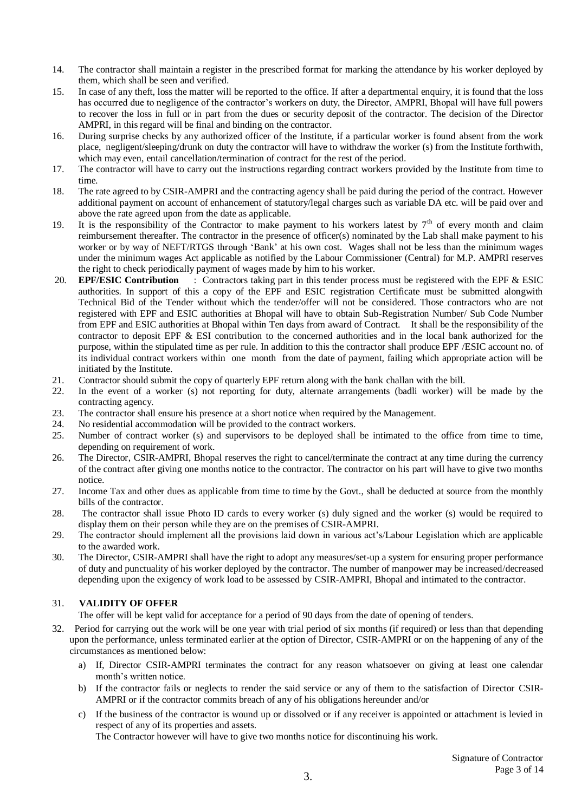- 14. The contractor shall maintain a register in the prescribed format for marking the attendance by his worker deployed by them, which shall be seen and verified.
- 15. In case of any theft, loss the matter will be reported to the office. If after a departmental enquiry, it is found that the loss has occurred due to negligence of the contractor's workers on duty, the Director, AMPRI, Bhopal will have full powers to recover the loss in full or in part from the dues or security deposit of the contractor. The decision of the Director AMPRI, in this regard will be final and binding on the contractor.
- 16. During surprise checks by any authorized officer of the Institute, if a particular worker is found absent from the work place, negligent/sleeping/drunk on duty the contractor will have to withdraw the worker (s) from the Institute forthwith, which may even, entail cancellation/termination of contract for the rest of the period.
- 17. The contractor will have to carry out the instructions regarding contract workers provided by the Institute from time to time.
- 18. The rate agreed to by CSIR-AMPRI and the contracting agency shall be paid during the period of the contract. However additional payment on account of enhancement of statutory/legal charges such as variable DA etc. will be paid over and above the rate agreed upon from the date as applicable.
- 19. It is the responsibility of the Contractor to make payment to his workers latest by  $7<sup>th</sup>$  of every month and claim reimbursement thereafter. The contractor in the presence of officer(s) nominated by the Lab shall make payment to his worker or by way of NEFT/RTGS through 'Bank' at his own cost. Wages shall not be less than the minimum wages under the minimum wages Act applicable as notified by the Labour Commissioner (Central) for M.P. AMPRI reserves the right to check periodically payment of wages made by him to his worker.
- 20. **EPF/ESIC Contribution** : Contractors taking part in this tender process must be registered with the EPF & ESIC authorities. In support of this a copy of the EPF and ESIC registration Certificate must be submitted alongwith Technical Bid of the Tender without which the tender/offer will not be considered. Those contractors who are not registered with EPF and ESIC authorities at Bhopal will have to obtain Sub-Registration Number/ Sub Code Number from EPF and ESIC authorities at Bhopal within Ten days from award of Contract. It shall be the responsibility of the contractor to deposit EPF & ESI contribution to the concerned authorities and in the local bank authorized for the purpose, within the stipulated time as per rule. In addition to this the contractor shall produce EPF /ESIC account no. of its individual contract workers within one month from the date of payment, failing which appropriate action will be initiated by the Institute.
- 21. Contractor should submit the copy of quarterly EPF return along with the bank challan with the bill.
- 22. In the event of a worker (s) not reporting for duty, alternate arrangements (badli worker) will be made by the contracting agency.
- 23. The contractor shall ensure his presence at a short notice when required by the Management.
- 24. No residential accommodation will be provided to the contract workers.
- 25. Number of contract worker (s) and supervisors to be deployed shall be intimated to the office from time to time, depending on requirement of work.
- 26. The Director, CSIR-AMPRI, Bhopal reserves the right to cancel/terminate the contract at any time during the currency of the contract after giving one months notice to the contractor. The contractor on his part will have to give two months notice.
- 27. Income Tax and other dues as applicable from time to time by the Govt., shall be deducted at source from the monthly bills of the contractor.
- 28. The contractor shall issue Photo ID cards to every worker (s) duly signed and the worker (s) would be required to display them on their person while they are on the premises of CSIR-AMPRI.
- 29. The contractor should implement all the provisions laid down in various act's/Labour Legislation which are applicable to the awarded work.
- 30. The Director, CSIR-AMPRI shall have the right to adopt any measures/set-up a system for ensuring proper performance of duty and punctuality of his worker deployed by the contractor. The number of manpower may be increased/decreased depending upon the exigency of work load to be assessed by CSIR-AMPRI, Bhopal and intimated to the contractor.

### 31. **VALIDITY OF OFFER**

The offer will be kept valid for acceptance for a period of 90 days from the date of opening of tenders.

- 32. Period for carrying out the work will be one year with trial period of six months (if required) or less than that depending upon the performance, unless terminated earlier at the option of Director, CSIR-AMPRI or on the happening of any of the circumstances as mentioned below:
	- a) If, Director CSIR-AMPRI terminates the contract for any reason whatsoever on giving at least one calendar month's written notice.
	- b) If the contractor fails or neglects to render the said service or any of them to the satisfaction of Director CSIR-AMPRI or if the contractor commits breach of any of his obligations hereunder and/or
	- c) If the business of the contractor is wound up or dissolved or if any receiver is appointed or attachment is levied in respect of any of its properties and assets.

The Contractor however will have to give two months notice for discontinuing his work.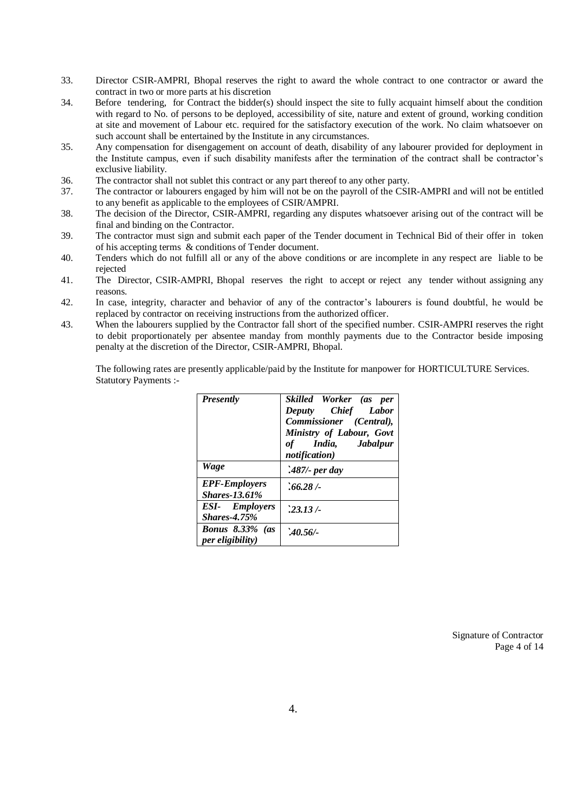- 33. Director CSIR-AMPRI, Bhopal reserves the right to award the whole contract to one contractor or award the contract in two or more parts at his discretion
- 34. Before tendering, for Contract the bidder(s) should inspect the site to fully acquaint himself about the condition with regard to No. of persons to be deployed, accessibility of site, nature and extent of ground, working condition at site and movement of Labour etc. required for the satisfactory execution of the work. No claim whatsoever on such account shall be entertained by the Institute in any circumstances.
- 35. Any compensation for disengagement on account of death, disability of any labourer provided for deployment in the Institute campus, even if such disability manifests after the termination of the contract shall be contractor's exclusive liability.
- 36. The contractor shall not sublet this contract or any part thereof to any other party.
- 37. The contractor or labourers engaged by him will not be on the payroll of the CSIR-AMPRI and will not be entitled to any benefit as applicable to the employees of CSIR/AMPRI.
- 38. The decision of the Director, CSIR-AMPRI, regarding any disputes whatsoever arising out of the contract will be final and binding on the Contractor.
- 39. The contractor must sign and submit each paper of the Tender document in Technical Bid of their offer in token of his accepting terms & conditions of Tender document.
- 40. Tenders which do not fulfill all or any of the above conditions or are incomplete in any respect are liable to be rejected
- 41. The Director, CSIR-AMPRI, Bhopal reserves the right to accept or reject any tender without assigning any reasons.
- 42. In case, integrity, character and behavior of any of the contractor's labourers is found doubtful, he would be replaced by contractor on receiving instructions from the authorized officer.
- 43. When the labourers supplied by the Contractor fall short of the specified number. CSIR-AMPRI reserves the right to debit proportionately per absentee manday from monthly payments due to the Contractor beside imposing penalty at the discretion of the Director, CSIR-AMPRI, Bhopal.

The following rates are presently applicable/paid by the Institute for manpower for HORTICULTURE Services. Statutory Payments :-

| <b>Presently</b>                             | Skilled Worker (as per<br>Deputy Chief Labor<br>Commissioner (Central),<br>Ministry of Labour, Govt<br>of India, Jabalpur<br>notification) |
|----------------------------------------------|--------------------------------------------------------------------------------------------------------------------------------------------|
| Wage                                         | $.487$ - per day                                                                                                                           |
| <b>EPF-Employers</b><br><b>Shares-13.61%</b> | $.66.28 / -$                                                                                                                               |
| <b>ESI-</b> Employers<br><b>Shares-4.75%</b> | $.23.13/-$                                                                                                                                 |
| <b>Bonus</b> 8.33% (as<br>per eligibility)   | 240.56/                                                                                                                                    |

Signature of Contractor Page 4 of 14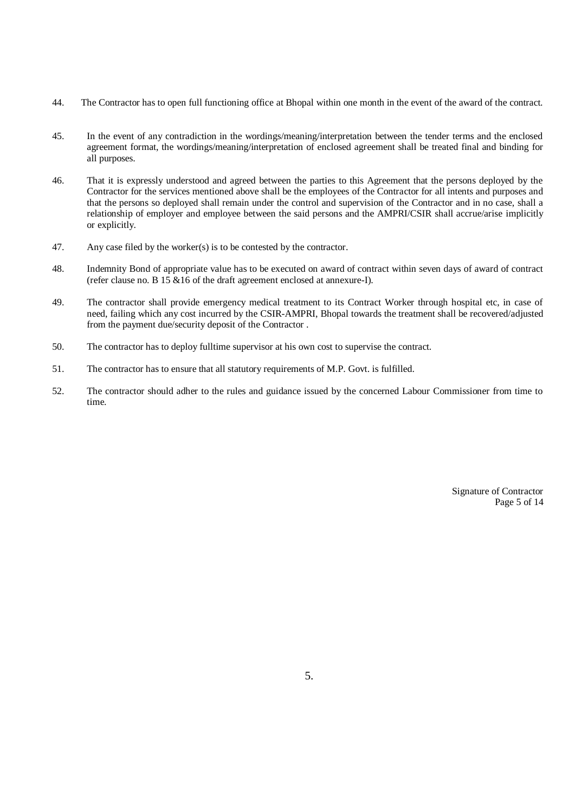- 44. The Contractor has to open full functioning office at Bhopal within one month in the event of the award of the contract.
- 45. In the event of any contradiction in the wordings/meaning/interpretation between the tender terms and the enclosed agreement format, the wordings/meaning/interpretation of enclosed agreement shall be treated final and binding for all purposes.
- 46. That it is expressly understood and agreed between the parties to this Agreement that the persons deployed by the Contractor for the services mentioned above shall be the employees of the Contractor for all intents and purposes and that the persons so deployed shall remain under the control and supervision of the Contractor and in no case, shall a relationship of employer and employee between the said persons and the AMPRI/CSIR shall accrue/arise implicitly or explicitly.
- 47. Any case filed by the worker(s) is to be contested by the contractor.
- 48. Indemnity Bond of appropriate value has to be executed on award of contract within seven days of award of contract (refer clause no. B  $15 \& 16$  of the draft agreement enclosed at annexure-I).
- 49. The contractor shall provide emergency medical treatment to its Contract Worker through hospital etc, in case of need, failing which any cost incurred by the CSIR-AMPRI, Bhopal towards the treatment shall be recovered/adjusted from the payment due/security deposit of the Contractor .
- 50. The contractor has to deploy fulltime supervisor at his own cost to supervise the contract.
- 51. The contractor has to ensure that all statutory requirements of M.P. Govt. is fulfilled.
- 52. The contractor should adher to the rules and guidance issued by the concerned Labour Commissioner from time to time.

Signature of Contractor Page 5 of 14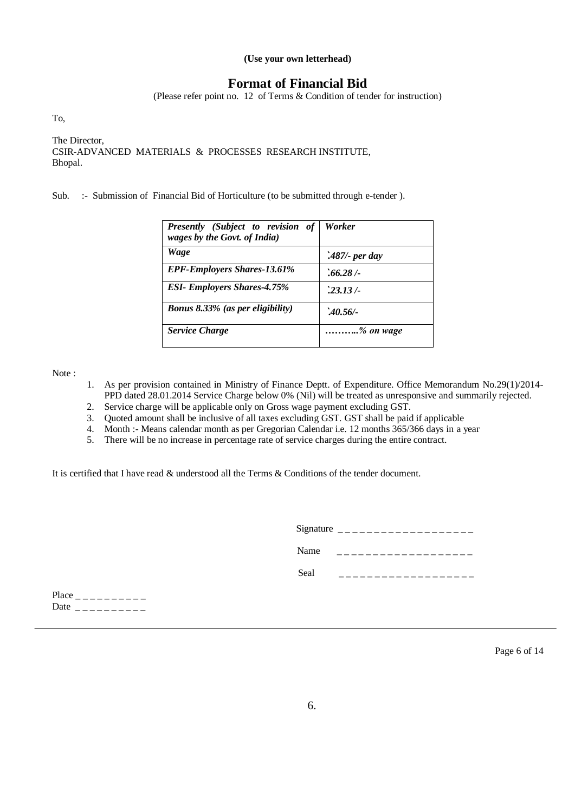#### **(Use your own letterhead)**

# **Format of Financial Bid**

(Please refer point no. 12 of Terms & Condition of tender for instruction)

To,

The Director, CSIR-ADVANCED MATERIALS & PROCESSES RESEARCH INSTITUTE, Bhopal.

Sub. :- Submission of Financial Bid of Horticulture (to be submitted through e-tender ).

| <b>Presently</b> (Subject to revision of<br>wages by the Govt. of India) | Worker           |
|--------------------------------------------------------------------------|------------------|
| Wage                                                                     | $.487$ - per day |
| <b>EPF-Employers Shares-13.61%</b>                                       | $.66.28 / -$     |
| <b>ESI- Employers Shares-4.75%</b>                                       | 23.13/           |
| <b>Bonus 8.33% (as per eligibility)</b>                                  | 240.56/          |
| <b>Service Charge</b>                                                    | % on wage        |

Note :

- 1. As per provision contained in Ministry of Finance Deptt. of Expenditure. Office Memorandum No.29(1)/2014- PPD dated 28.01.2014 Service Charge below 0% (Nil) will be treated as unresponsive and summarily rejected.
- 2. Service charge will be applicable only on Gross wage payment excluding GST.
- 3. Quoted amount shall be inclusive of all taxes excluding GST. GST shall be paid if applicable
- 4. Month :- Means calendar month as per Gregorian Calendar i.e. 12 months 365/366 days in a year
- 5. There will be no increase in percentage rate of service charges during the entire contract.

It is certified that I have read & understood all the Terms & Conditions of the tender document.

|      | Signature $\frac{1}{2}$ = $\frac{1}{2}$ = $\frac{1}{2}$ = $\frac{1}{2}$ = $\frac{1}{2}$ |
|------|-----------------------------------------------------------------------------------------|
| Name |                                                                                         |
| Seal |                                                                                         |
|      |                                                                                         |

Place \_ \_ \_ \_ \_ \_ \_ \_ \_ \_ Date  $\_{-------$ 

Page 6 of 14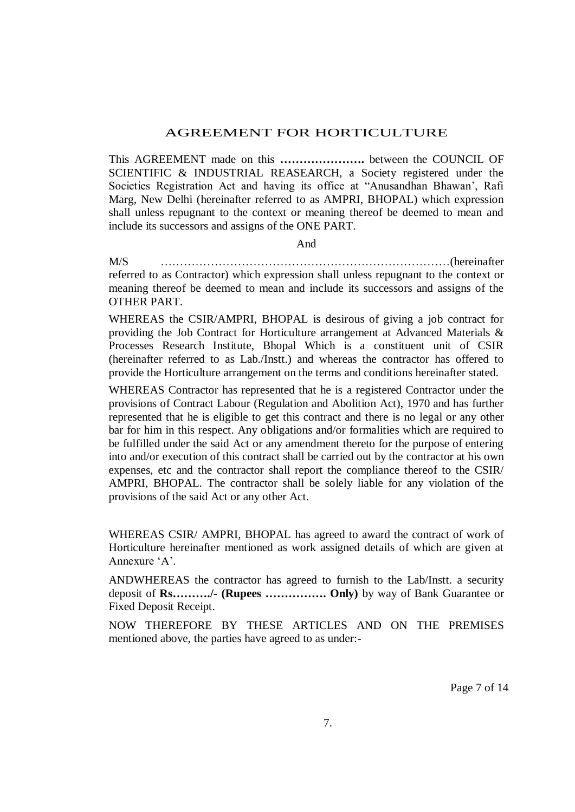# AGREEMENT FOR HORTICULTURE

This AGREEMENT made on this **………………….** between the COUNCIL OF SCIENTIFIC & INDUSTRIAL REASEARCH, a Society registered under the Societies Registration Act and having its office at "Anusandhan Bhawan', Rafi Marg, New Delhi (hereinafter referred to as AMPRI, BHOPAL) which expression shall unless repugnant to the context or meaning thereof be deemed to mean and include its successors and assigns of the ONE PART.

#### And

M/S …………………………………………………………………(hereinafter referred to as Contractor) which expression shall unless repugnant to the context or meaning thereof be deemed to mean and include its successors and assigns of the OTHER PART.

WHEREAS the CSIR/AMPRI, BHOPAL is desirous of giving a job contract for providing the Job Contract for Horticulture arrangement at Advanced Materials & Processes Research Institute, Bhopal Which is a constituent unit of CSIR (hereinafter referred to as Lab./Instt.) and whereas the contractor has offered to provide the Horticulture arrangement on the terms and conditions hereinafter stated.

WHEREAS Contractor has represented that he is a registered Contractor under the provisions of Contract Labour (Regulation and Abolition Act), 1970 and has further represented that he is eligible to get this contract and there is no legal or any other bar for him in this respect. Any obligations and/or formalities which are required to be fulfilled under the said Act or any amendment thereto for the purpose of entering into and/or execution of this contract shall be carried out by the contractor at his own expenses, etc and the contractor shall report the compliance thereof to the CSIR/ AMPRI, BHOPAL. The contractor shall be solely liable for any violation of the provisions of the said Act or any other Act.

WHEREAS CSIR/ AMPRI, BHOPAL has agreed to award the contract of work of Horticulture hereinafter mentioned as work assigned details of which are given at Annexure 'A'.

ANDWHEREAS the contractor has agreed to furnish to the Lab/Instt. a security deposit of **Rs………./- (Rupees ……………. Only)** by way of Bank Guarantee or Fixed Deposit Receipt.

NOW THEREFORE BY THESE ARTICLES AND ON THE PREMISES mentioned above, the parties have agreed to as under:-

Page 7 of 14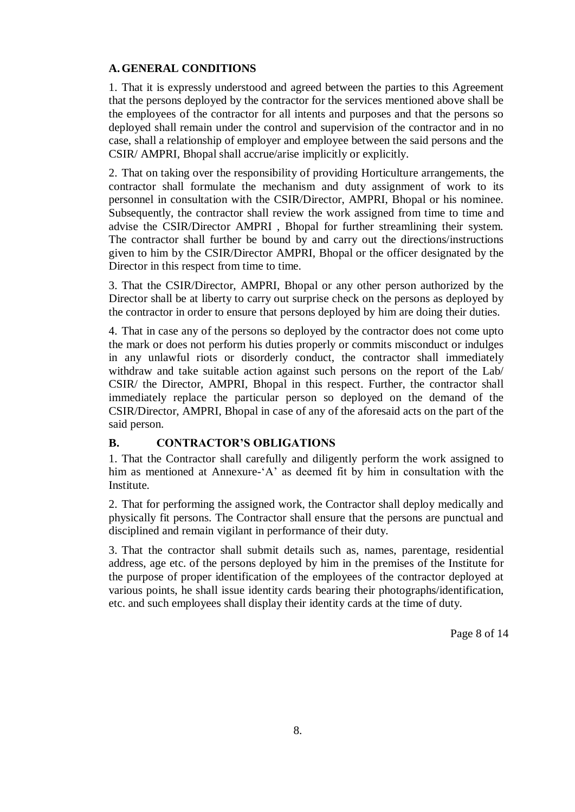# **A.GENERAL CONDITIONS**

1. That it is expressly understood and agreed between the parties to this Agreement that the persons deployed by the contractor for the services mentioned above shall be the employees of the contractor for all intents and purposes and that the persons so deployed shall remain under the control and supervision of the contractor and in no case, shall a relationship of employer and employee between the said persons and the CSIR/ AMPRI, Bhopal shall accrue/arise implicitly or explicitly.

2. That on taking over the responsibility of providing Horticulture arrangements, the contractor shall formulate the mechanism and duty assignment of work to its personnel in consultation with the CSIR/Director, AMPRI, Bhopal or his nominee. Subsequently, the contractor shall review the work assigned from time to time and advise the CSIR/Director AMPRI , Bhopal for further streamlining their system. The contractor shall further be bound by and carry out the directions/instructions given to him by the CSIR/Director AMPRI, Bhopal or the officer designated by the Director in this respect from time to time.

3. That the CSIR/Director, AMPRI, Bhopal or any other person authorized by the Director shall be at liberty to carry out surprise check on the persons as deployed by the contractor in order to ensure that persons deployed by him are doing their duties.

4. That in case any of the persons so deployed by the contractor does not come upto the mark or does not perform his duties properly or commits misconduct or indulges in any unlawful riots or disorderly conduct, the contractor shall immediately withdraw and take suitable action against such persons on the report of the Lab/ CSIR/ the Director, AMPRI, Bhopal in this respect. Further, the contractor shall immediately replace the particular person so deployed on the demand of the CSIR/Director, AMPRI, Bhopal in case of any of the aforesaid acts on the part of the said person.

## **B. CONTRACTOR'S OBLIGATIONS**

1. That the Contractor shall carefully and diligently perform the work assigned to him as mentioned at Annexure-'A' as deemed fit by him in consultation with the Institute.

2. That for performing the assigned work, the Contractor shall deploy medically and physically fit persons. The Contractor shall ensure that the persons are punctual and disciplined and remain vigilant in performance of their duty.

3. That the contractor shall submit details such as, names, parentage, residential address, age etc. of the persons deployed by him in the premises of the Institute for the purpose of proper identification of the employees of the contractor deployed at various points, he shall issue identity cards bearing their photographs/identification, etc. and such employees shall display their identity cards at the time of duty.

Page 8 of 14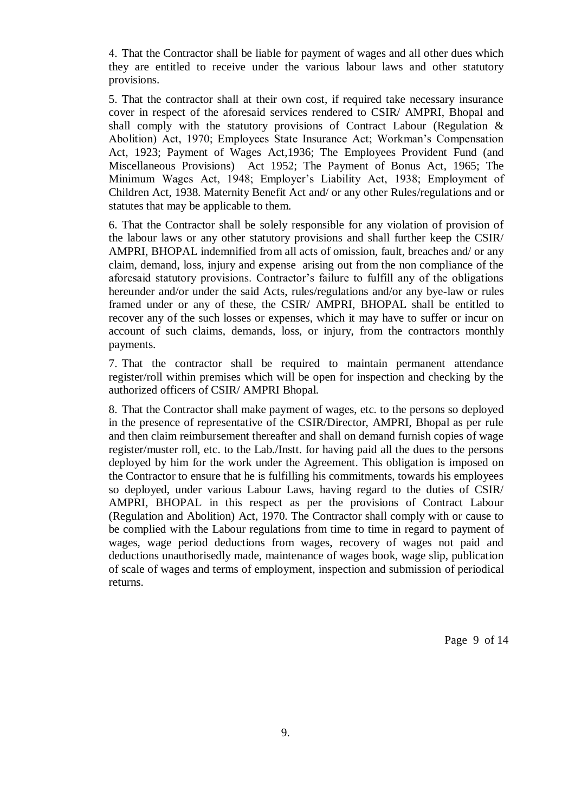4. That the Contractor shall be liable for payment of wages and all other dues which they are entitled to receive under the various labour laws and other statutory provisions.

5. That the contractor shall at their own cost, if required take necessary insurance cover in respect of the aforesaid services rendered to CSIR/ AMPRI, Bhopal and shall comply with the statutory provisions of Contract Labour (Regulation & Abolition) Act, 1970; Employees State Insurance Act; Workman's Compensation Act, 1923; Payment of Wages Act,1936; The Employees Provident Fund (and Miscellaneous Provisions) Act 1952; The Payment of Bonus Act, 1965; The Minimum Wages Act, 1948; Employer's Liability Act, 1938; Employment of Children Act, 1938. Maternity Benefit Act and/ or any other Rules/regulations and or statutes that may be applicable to them.

6. That the Contractor shall be solely responsible for any violation of provision of the labour laws or any other statutory provisions and shall further keep the CSIR/ AMPRI, BHOPAL indemnified from all acts of omission, fault, breaches and/ or any claim, demand, loss, injury and expense arising out from the non compliance of the aforesaid statutory provisions. Contractor's failure to fulfill any of the obligations hereunder and/or under the said Acts, rules/regulations and/or any bye-law or rules framed under or any of these, the CSIR/ AMPRI, BHOPAL shall be entitled to recover any of the such losses or expenses, which it may have to suffer or incur on account of such claims, demands, loss, or injury, from the contractors monthly payments.

7. That the contractor shall be required to maintain permanent attendance register/roll within premises which will be open for inspection and checking by the authorized officers of CSIR/ AMPRI Bhopal.

8. That the Contractor shall make payment of wages, etc. to the persons so deployed in the presence of representative of the CSIR/Director, AMPRI, Bhopal as per rule and then claim reimbursement thereafter and shall on demand furnish copies of wage register/muster roll, etc. to the Lab./Instt. for having paid all the dues to the persons deployed by him for the work under the Agreement. This obligation is imposed on the Contractor to ensure that he is fulfilling his commitments, towards his employees so deployed, under various Labour Laws, having regard to the duties of CSIR/ AMPRI, BHOPAL in this respect as per the provisions of Contract Labour (Regulation and Abolition) Act, 1970. The Contractor shall comply with or cause to be complied with the Labour regulations from time to time in regard to payment of wages, wage period deductions from wages, recovery of wages not paid and deductions unauthorisedly made, maintenance of wages book, wage slip, publication of scale of wages and terms of employment, inspection and submission of periodical returns.

Page 9 of 14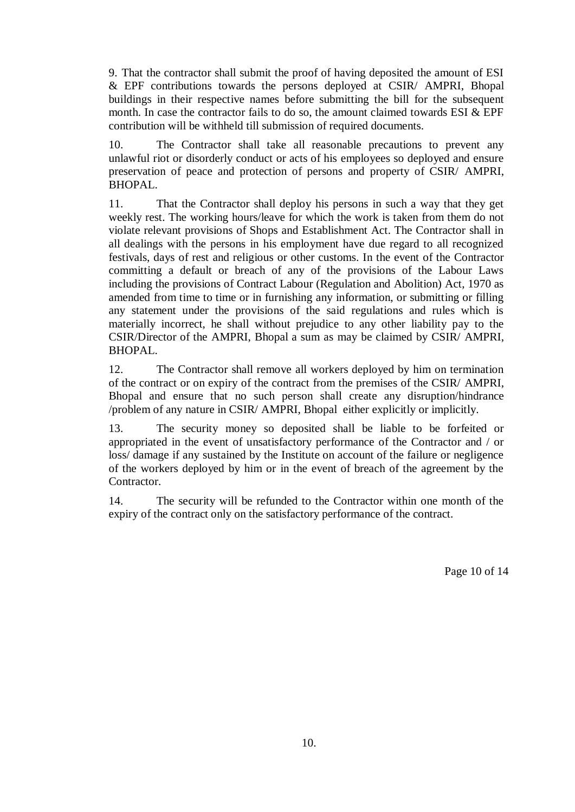9. That the contractor shall submit the proof of having deposited the amount of ESI & EPF contributions towards the persons deployed at CSIR/ AMPRI, Bhopal buildings in their respective names before submitting the bill for the subsequent month. In case the contractor fails to do so, the amount claimed towards ESI & EPF contribution will be withheld till submission of required documents.

10. The Contractor shall take all reasonable precautions to prevent any unlawful riot or disorderly conduct or acts of his employees so deployed and ensure preservation of peace and protection of persons and property of CSIR/ AMPRI, BHOPAL.

11. That the Contractor shall deploy his persons in such a way that they get weekly rest. The working hours/leave for which the work is taken from them do not violate relevant provisions of Shops and Establishment Act. The Contractor shall in all dealings with the persons in his employment have due regard to all recognized festivals, days of rest and religious or other customs. In the event of the Contractor committing a default or breach of any of the provisions of the Labour Laws including the provisions of Contract Labour (Regulation and Abolition) Act, 1970 as amended from time to time or in furnishing any information, or submitting or filling any statement under the provisions of the said regulations and rules which is materially incorrect, he shall without prejudice to any other liability pay to the CSIR/Director of the AMPRI, Bhopal a sum as may be claimed by CSIR/ AMPRI, BHOPAL.

12. The Contractor shall remove all workers deployed by him on termination of the contract or on expiry of the contract from the premises of the CSIR/ AMPRI, Bhopal and ensure that no such person shall create any disruption/hindrance /problem of any nature in CSIR/ AMPRI, Bhopal either explicitly or implicitly.

13. The security money so deposited shall be liable to be forfeited or appropriated in the event of unsatisfactory performance of the Contractor and / or loss/ damage if any sustained by the Institute on account of the failure or negligence of the workers deployed by him or in the event of breach of the agreement by the Contractor.

14. The security will be refunded to the Contractor within one month of the expiry of the contract only on the satisfactory performance of the contract.

Page 10 of 14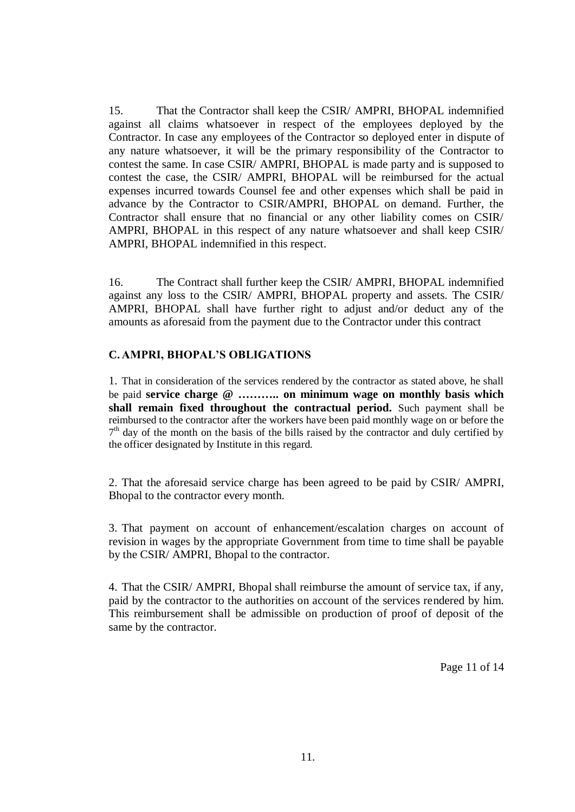15. That the Contractor shall keep the CSIR/ AMPRI, BHOPAL indemnified against all claims whatsoever in respect of the employees deployed by the Contractor. In case any employees of the Contractor so deployed enter in dispute of any nature whatsoever, it will be the primary responsibility of the Contractor to contest the same. In case CSIR/ AMPRI, BHOPAL is made party and is supposed to contest the case, the CSIR/ AMPRI, BHOPAL will be reimbursed for the actual expenses incurred towards Counsel fee and other expenses which shall be paid in advance by the Contractor to CSIR/AMPRI, BHOPAL on demand. Further, the Contractor shall ensure that no financial or any other liability comes on CSIR/ AMPRI, BHOPAL in this respect of any nature whatsoever and shall keep CSIR/ AMPRI, BHOPAL indemnified in this respect.

16. The Contract shall further keep the CSIR/ AMPRI, BHOPAL indemnified against any loss to the CSIR/ AMPRI, BHOPAL property and assets. The CSIR/ AMPRI, BHOPAL shall have further right to adjust and/or deduct any of the amounts as aforesaid from the payment due to the Contractor under this contract

# **C. AMPRI, BHOPAL'S OBLIGATIONS**

1. That in consideration of the services rendered by the contractor as stated above, he shall be paid **service charge @ ……….. on minimum wage on monthly basis which shall remain fixed throughout the contractual period.** Such payment shall be reimbursed to the contractor after the workers have been paid monthly wage on or before the  $7<sup>th</sup>$  day of the month on the basis of the bills raised by the contractor and duly certified by the officer designated by Institute in this regard.

2. That the aforesaid service charge has been agreed to be paid by CSIR/ AMPRI, Bhopal to the contractor every month.

3. That payment on account of enhancement/escalation charges on account of revision in wages by the appropriate Government from time to time shall be payable by the CSIR/ AMPRI, Bhopal to the contractor.

4. That the CSIR/ AMPRI, Bhopal shall reimburse the amount of service tax, if any, paid by the contractor to the authorities on account of the services rendered by him. This reimbursement shall be admissible on production of proof of deposit of the same by the contractor.

Page 11 of 14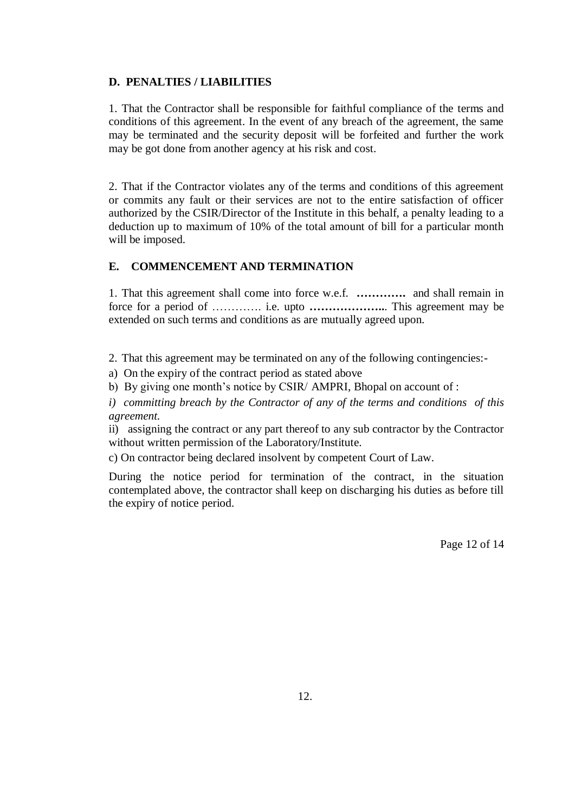# **D. PENALTIES / LIABILITIES**

1. That the Contractor shall be responsible for faithful compliance of the terms and conditions of this agreement. In the event of any breach of the agreement, the same may be terminated and the security deposit will be forfeited and further the work may be got done from another agency at his risk and cost.

2. That if the Contractor violates any of the terms and conditions of this agreement or commits any fault or their services are not to the entire satisfaction of officer authorized by the CSIR/Director of the Institute in this behalf, a penalty leading to a deduction up to maximum of 10% of the total amount of bill for a particular month will be imposed.

# **E. COMMENCEMENT AND TERMINATION**

1. That this agreement shall come into force w.e.f. **………….** and shall remain in force for a period of …………. i.e. upto **………………..**. This agreement may be extended on such terms and conditions as are mutually agreed upon.

2. That this agreement may be terminated on any of the following contingencies:-

a) On the expiry of the contract period as stated above

b) By giving one month's notice by CSIR/ AMPRI, Bhopal on account of :

*i) committing breach by the Contractor of any of the terms and conditions of this agreement.*

ii) assigning the contract or any part thereof to any sub contractor by the Contractor without written permission of the Laboratory/Institute.

c) On contractor being declared insolvent by competent Court of Law.

During the notice period for termination of the contract, in the situation contemplated above, the contractor shall keep on discharging his duties as before till the expiry of notice period.

Page 12 of 14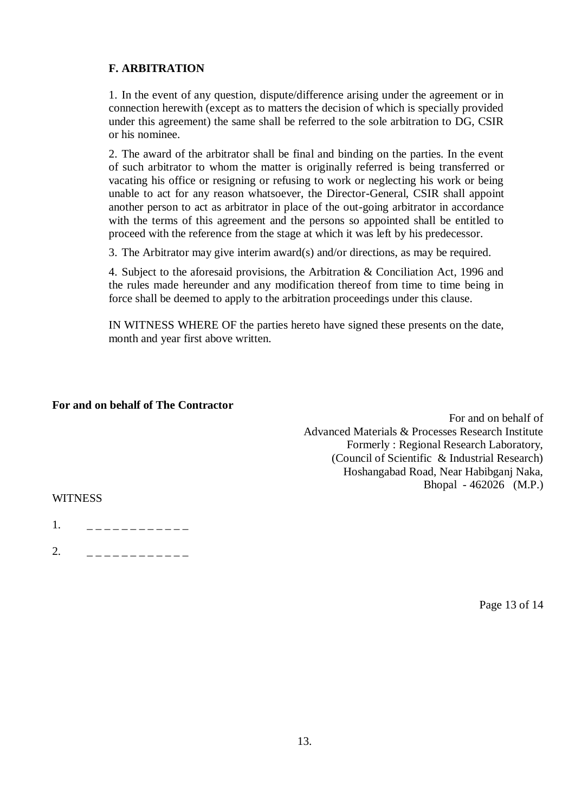# **F. ARBITRATION**

1. In the event of any question, dispute/difference arising under the agreement or in connection herewith (except as to matters the decision of which is specially provided under this agreement) the same shall be referred to the sole arbitration to DG, CSIR or his nominee.

2. The award of the arbitrator shall be final and binding on the parties. In the event of such arbitrator to whom the matter is originally referred is being transferred or vacating his office or resigning or refusing to work or neglecting his work or being unable to act for any reason whatsoever, the Director-General, CSIR shall appoint another person to act as arbitrator in place of the out-going arbitrator in accordance with the terms of this agreement and the persons so appointed shall be entitled to proceed with the reference from the stage at which it was left by his predecessor.

3. The Arbitrator may give interim award(s) and/or directions, as may be required.

4. Subject to the aforesaid provisions, the Arbitration & Conciliation Act, 1996 and the rules made hereunder and any modification thereof from time to time being in force shall be deemed to apply to the arbitration proceedings under this clause.

IN WITNESS WHERE OF the parties hereto have signed these presents on the date, month and year first above written.

# **For and on behalf of The Contractor**

 For and on behalf of Advanced Materials & Processes Research Institute Formerly : Regional Research Laboratory, (Council of Scientific & Industrial Research) Hoshangabad Road, Near Habibganj Naka, Bhopal - 462026 (M.P.)

### **WITNESS**

1. \_ \_ \_ \_ \_ \_ \_ \_ \_ \_ \_ \_ \_

2. \_ \_ \_ \_ \_ \_ \_ \_ \_ \_ \_ \_

Page 13 of 14